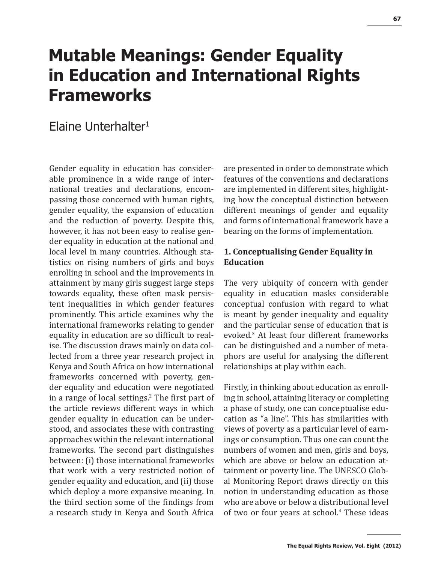# **Mutable Meanings: Gender Equality in Education and International Rights Frameworks**

# Elaine Unterhalter1

Gender equality in education has considerable prominence in a wide range of international treaties and declarations, encompassing those concerned with human rights, gender equality, the expansion of education and the reduction of poverty. Despite this, however, it has not been easy to realise gender equality in education at the national and local level in many countries. Although statistics on rising numbers of girls and boys enrolling in school and the improvements in attainment by many girls suggest large steps towards equality, these often mask persistent inequalities in which gender features prominently. This article examines why the international frameworks relating to gender equality in education are so difficult to realise. The discussion draws mainly on data collected from a three year research project in Kenya and South Africa on how international frameworks concerned with poverty, gender equality and education were negotiated in a range of local settings.<sup>2</sup> The first part of the article reviews different ways in which gender equality in education can be understood, and associates these with contrasting approaches within the relevant international frameworks. The second part distinguishes between: (i) those international frameworks that work with a very restricted notion of gender equality and education, and (ii) those which deploy a more expansive meaning. In the third section some of the findings from a research study in Kenya and South Africa

are presented in order to demonstrate which features of the conventions and declarations are implemented in different sites, highlighting how the conceptual distinction between different meanings of gender and equality and forms of international framework have a bearing on the forms of implementation.

## **1. Conceptualising Gender Equality in Education**

The very ubiquity of concern with gender equality in education masks considerable conceptual confusion with regard to what is meant by gender inequality and equality and the particular sense of education that is evoked.<sup>3</sup> At least four different frameworks can be distinguished and a number of metaphors are useful for analysing the different relationships at play within each.

Firstly, in thinking about education as enrolling in school, attaining literacy or completing a phase of study, one can conceptualise education as "a line". This has similarities with views of poverty as a particular level of earnings or consumption. Thus one can count the numbers of women and men, girls and boys, which are above or below an education attainment or poverty line. The UNESCO Global Monitoring Report draws directly on this notion in understanding education as those who are above or below a distributional level of two or four years at school.<sup>4</sup> These ideas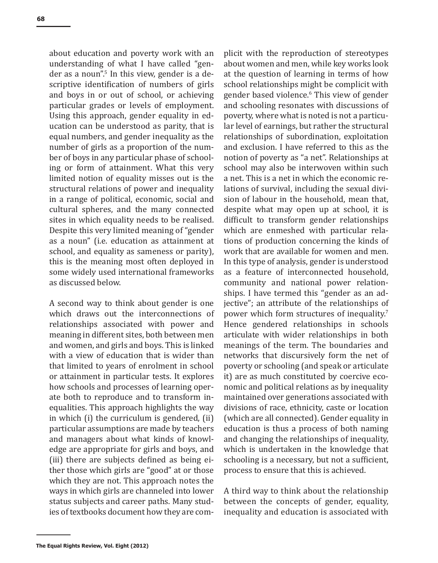about education and poverty work with an understanding of what I have called "gender as a noun".<sup>5</sup> In this view, gender is a descriptive identification of numbers of girls and boys in or out of school, or achieving particular grades or levels of employment. Using this approach, gender equality in education can be understood as parity, that is equal numbers, and gender inequality as the number of girls as a proportion of the number of boys in any particular phase of schooling or form of attainment. What this very limited notion of equality misses out is the structural relations of power and inequality in a range of political, economic, social and cultural spheres, and the many connected sites in which equality needs to be realised. Despite this very limited meaning of "gender as a noun" (i.e. education as attainment at school, and equality as sameness or parity), this is the meaning most often deployed in some widely used international frameworks as discussed below.

A second way to think about gender is one which draws out the interconnections of relationships associated with power and meaning in different sites, both between men and women, and girls and boys. This is linked with a view of education that is wider than that limited to years of enrolment in school or attainment in particular tests. It explores how schools and processes of learning operate both to reproduce and to transform inequalities. This approach highlights the way in which (i) the curriculum is gendered, (ii) particular assumptions are made by teachers and managers about what kinds of knowledge are appropriate for girls and boys, and (iii) there are subjects defined as being either those which girls are "good" at or those which they are not. This approach notes the ways in which girls are channeled into lower status subjects and career paths. Many studies of textbooks document how they are com-

plicit with the reproduction of stereotypes about women and men, while key works look at the question of learning in terms of how school relationships might be complicit with gender based violence.6 This view of gender and schooling resonates with discussions of poverty, where what is noted is not a particular level of earnings, but rather the structural relationships of subordination, exploitation and exclusion. I have referred to this as the notion of poverty as "a net". Relationships at school may also be interwoven within such a net. This is a net in which the economic relations of survival, including the sexual division of labour in the household, mean that, despite what may open up at school, it is difficult to transform gender relationships which are enmeshed with particular relations of production concerning the kinds of work that are available for women and men. In this type of analysis, gender is understood as a feature of interconnected household, community and national power relationships. I have termed this "gender as an adjective"; an attribute of the relationships of power which form structures of inequality.7 Hence gendered relationships in schools articulate with wider relationships in both meanings of the term. The boundaries and networks that discursively form the net of poverty or schooling (and speak or articulate it) are as much constituted by coercive economic and political relations as by inequality maintained over generations associated with divisions of race, ethnicity, caste or location (which are all connected). Gender equality in education is thus a process of both naming and changing the relationships of inequality, which is undertaken in the knowledge that schooling is a necessary, but not a sufficient, process to ensure that this is achieved.

A third way to think about the relationship between the concepts of gender, equality, inequality and education is associated with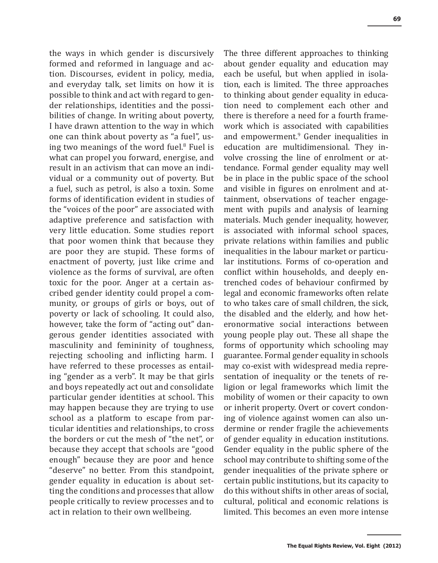the ways in which gender is discursively formed and reformed in language and action. Discourses, evident in policy, media, and everyday talk, set limits on how it is possible to think and act with regard to gender relationships, identities and the possibilities of change. In writing about poverty, I have drawn attention to the way in which one can think about poverty as "a fuel", using two meanings of the word fuel.<sup>8</sup> Fuel is what can propel you forward, energise, and result in an activism that can move an individual or a community out of poverty. But a fuel, such as petrol, is also a toxin. Some forms of identification evident in studies of the "voices of the poor" are associated with adaptive preference and satisfaction with very little education. Some studies report that poor women think that because they are poor they are stupid. These forms of enactment of poverty, just like crime and violence as the forms of survival, are often toxic for the poor. Anger at a certain ascribed gender identity could propel a community, or groups of girls or boys, out of poverty or lack of schooling. It could also, however, take the form of "acting out" dangerous gender identities associated with masculinity and femininity of toughness, rejecting schooling and inflicting harm. I have referred to these processes as entailing "gender as a verb". It may be that girls and boys repeatedly act out and consolidate particular gender identities at school. This may happen because they are trying to use school as a platform to escape from particular identities and relationships, to cross the borders or cut the mesh of "the net", or because they accept that schools are "good enough" because they are poor and hence "deserve" no better. From this standpoint, gender equality in education is about setting the conditions and processes that allow people critically to review processes and to act in relation to their own wellbeing.

The three different approaches to thinking about gender equality and education may each be useful, but when applied in isolation, each is limited. The three approaches to thinking about gender equality in education need to complement each other and there is therefore a need for a fourth framework which is associated with capabilities and empowerment.<sup>9</sup> Gender inequalities in education are multidimensional. They involve crossing the line of enrolment or attendance. Formal gender equality may well be in place in the public space of the school and visible in figures on enrolment and attainment, observations of teacher engagement with pupils and analysis of learning materials. Much gender inequality, however, is associated with informal school spaces, private relations within families and public inequalities in the labour market or particular institutions. Forms of co-operation and conflict within households, and deeply entrenched codes of behaviour confirmed by legal and economic frameworks often relate to who takes care of small children, the sick, the disabled and the elderly, and how heteronormative social interactions between young people play out. These all shape the forms of opportunity which schooling may guarantee. Formal gender equality in schools may co-exist with widespread media representation of inequality or the tenets of religion or legal frameworks which limit the mobility of women or their capacity to own or inherit property. Overt or covert condoning of violence against women can also undermine or render fragile the achievements of gender equality in education institutions. Gender equality in the public sphere of the school may contribute to shifting some of the gender inequalities of the private sphere or certain public institutions, but its capacity to do this without shifts in other areas of social, cultural, political and economic relations is limited. This becomes an even more intense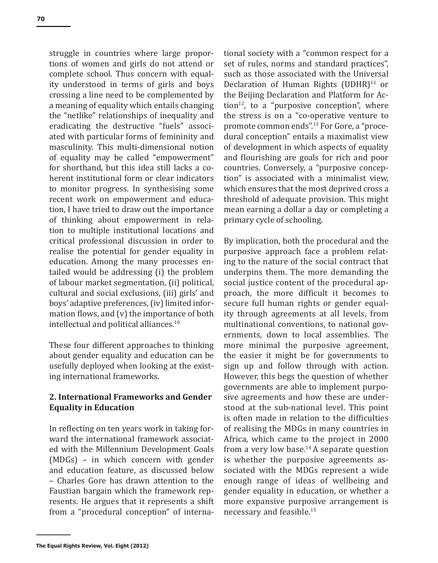struggle in countries where large proportions of women and girls do not attend or complete school. Thus concern with equality understood in terms of girls and boys crossing a line need to be complemented by a meaning of equality which entails changing the "netlike" relationships of inequality and eradicating the destructive "fuels" associated with particular forms of femininity and masculinity. This multi-dimensional notion of equality may be called "empowerment" for shorthand, but this idea still lacks a coherent institutional form or clear indicators to monitor progress. In synthesising some recent work on empowerment and education, I have tried to draw out the importance of thinking about empowerment in relation to multiple institutional locations and critical professional discussion in order to realise the potential for gender equality in education. Among the many processes entailed would be addressing (i) the problem of labour market segmentation, (ii) political, cultural and social exclusions, (iii) girls' and boys' adaptive preferences, (iv) limited information flows, and (v) the importance of both intellectual and political alliances.<sup>10</sup>

These four different approaches to thinking about gender equality and education can be usefully deployed when looking at the existing international frameworks.

#### **2. International Frameworks and Gender Equality in Education**

In reflecting on ten years work in taking forward the international framework associated with the Millennium Development Goals (MDGs) – in which concern with gender and education feature, as discussed below – Charles Gore has drawn attention to the Faustian bargain which the framework represents. He argues that it represents a shift from a "procedural conception" of international society with a "common respect for a set of rules, norms and standard practices", such as those associated with the Universal Declaration of Human Rights  $(UDHR)^{11}$  or the Beijing Declaration and Platform for Action $^{12}$ , to a "purposive conception", where the stress is on a "co-operative venture to promote common ends".13 For Gore, a "procedural conception" entails a maximalist view of development in which aspects of equality and flourishing are goals for rich and poor countries. Conversely, a "purposive conception" is associated with a minimalist view, which ensures that the most deprived cross a threshold of adequate provision. This might mean earning a dollar a day or completing a primary cycle of schooling.

By implication, both the procedural and the purposive approach face a problem relating to the nature of the social contract that underpins them. The more demanding the social justice content of the procedural approach, the more difficult it becomes to secure full human rights or gender equality through agreements at all levels, from multinational conventions, to national governments, down to local assemblies. The more minimal the purposive agreement, the easier it might be for governments to sign up and follow through with action. However, this begs the question of whether governments are able to implement purposive agreements and how these are understood at the sub-national level. This point is often made in relation to the difficulties of realising the MDGs in many countries in Africa, which came to the project in 2000 from a very low base.<sup>14</sup> A separate question is whether the purposive agreements associated with the MDGs represent a wide enough range of ideas of wellbeing and gender equality in education, or whether a more expansive purposive arrangement is necessary and feasible.<sup>15</sup>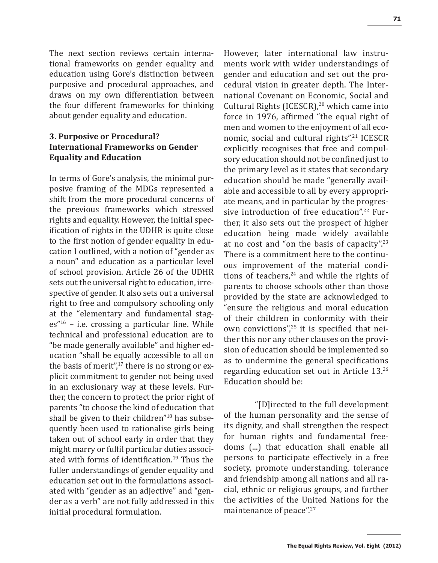The next section reviews certain international frameworks on gender equality and education using Gore's distinction between purposive and procedural approaches, and draws on my own differentiation between the four different frameworks for thinking about gender equality and education.

## **3. Purposive or Procedural? International Frameworks on Gender Equality and Education**

In terms of Gore's analysis, the minimal purposive framing of the MDGs represented a shift from the more procedural concerns of the previous frameworks which stressed rights and equality. However, the initial specification of rights in the UDHR is quite close to the first notion of gender equality in education I outlined, with a notion of "gender as a noun" and education as a particular level of school provision. Article 26 of the UDHR sets out the universal right to education, irrespective of gender. It also sets out a universal right to free and compulsory schooling only at the "elementary and fundamental stag $es''<sup>16</sup>$  – i.e. crossing a particular line. While technical and professional education are to "be made generally available" and higher education "shall be equally accessible to all on the basis of merit", $17$  there is no strong or explicit commitment to gender not being used in an exclusionary way at these levels. Further, the concern to protect the prior right of parents "to choose the kind of education that shall be given to their children"<sup>18</sup> has subsequently been used to rationalise girls being taken out of school early in order that they might marry or fulfil particular duties associated with forms of identification.<sup>19</sup> Thus the fuller understandings of gender equality and education set out in the formulations associated with "gender as an adjective" and "gender as a verb" are not fully addressed in this initial procedural formulation.

However, later international law instruments work with wider understandings of gender and education and set out the procedural vision in greater depth. The International Covenant on Economic, Social and Cultural Rights (ICESCR),<sup>20</sup> which came into force in 1976, affirmed "the equal right of men and women to the enjoyment of all economic, social and cultural rights".21 ICESCR explicitly recognises that free and compulsory education should not be confined just to the primary level as it states that secondary education should be made "generally available and accessible to all by every appropriate means, and in particular by the progressive introduction of free education".<sup>22</sup> Further, it also sets out the prospect of higher education being made widely available at no cost and "on the basis of capacity".<sup>23</sup> There is a commitment here to the continuous improvement of the material conditions of teachers, $24$  and while the rights of parents to choose schools other than those provided by the state are acknowledged to "ensure the religious and moral education of their children in conformity with their own convictions",<sup>25</sup> it is specified that neither this nor any other clauses on the provision of education should be implemented so as to undermine the general specifications regarding education set out in Article 13.<sup>26</sup> Education should be:

"[D]irected to the full development of the human personality and the sense of its dignity, and shall strengthen the respect for human rights and fundamental freedoms (...) that education shall enable all persons to participate effectively in a free society, promote understanding, tolerance and friendship among all nations and all racial, ethnic or religious groups, and further the activities of the United Nations for the maintenance of peace".<sup>27</sup>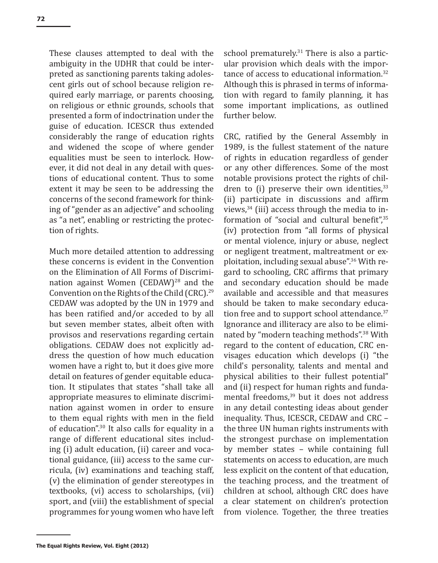These clauses attempted to deal with the ambiguity in the UDHR that could be interpreted as sanctioning parents taking adolescent girls out of school because religion required early marriage, or parents choosing, on religious or ethnic grounds, schools that presented a form of indoctrination under the guise of education. ICESCR thus extended considerably the range of education rights and widened the scope of where gender equalities must be seen to interlock. However, it did not deal in any detail with questions of educational content. Thus to some extent it may be seen to be addressing the concerns of the second framework for thinking of "gender as an adjective" and schooling as "a net", enabling or restricting the protection of rights.

Much more detailed attention to addressing these concerns is evident in the Convention on the Elimination of All Forms of Discrimination against Women  $(CEDAW)^{28}$  and the Convention on the Rights of the Child (CRC).<sup>29</sup> CEDAW was adopted by the UN in 1979 and has been ratified and/or acceded to by all but seven member states, albeit often with provisos and reservations regarding certain obligations. CEDAW does not explicitly address the question of how much education women have a right to, but it does give more detail on features of gender equitable education. It stipulates that states "shall take all appropriate measures to eliminate discrimination against women in order to ensure to them equal rights with men in the field of education".30 It also calls for equality in a range of different educational sites including (i) adult education, (ii) career and vocational guidance, (iii) access to the same curricula, (iv) examinations and teaching staff, (v) the elimination of gender stereotypes in textbooks, (vi) access to scholarships, (vii) sport, and (viii) the establishment of special programmes for young women who have left school prematurely.<sup>31</sup> There is also a particular provision which deals with the importance of access to educational information.<sup>32</sup> Although this is phrased in terms of information with regard to family planning, it has some important implications, as outlined further below.

CRC, ratified by the General Assembly in 1989, is the fullest statement of the nature of rights in education regardless of gender or any other differences. Some of the most notable provisions protect the rights of children to  $(i)$  preserve their own identities,  $33$ (ii) participate in discussions and affirm views, $34$  (iii) access through the media to information of "social and cultural benefit",<sup>35</sup> (iv) protection from "all forms of physical or mental violence, injury or abuse, neglect or negligent treatment, maltreatment or exploitation, including sexual abuse".36 With regard to schooling, CRC affirms that primary and secondary education should be made available and accessible and that measures should be taken to make secondary education free and to support school attendance.<sup>37</sup> Ignorance and illiteracy are also to be eliminated by "modern teaching methods".38 With regard to the content of education, CRC envisages education which develops (i) "the child's personality, talents and mental and physical abilities to their fullest potential" and (ii) respect for human rights and fundamental freedoms,<sup>39</sup> but it does not address in any detail contesting ideas about gender inequality. Thus, ICESCR, CEDAW and CRC – the three UN human rights instruments with the strongest purchase on implementation by member states – while containing full statements on access to education, are much less explicit on the content of that education, the teaching process, and the treatment of children at school, although CRC does have a clear statement on children's protection from violence. Together, the three treaties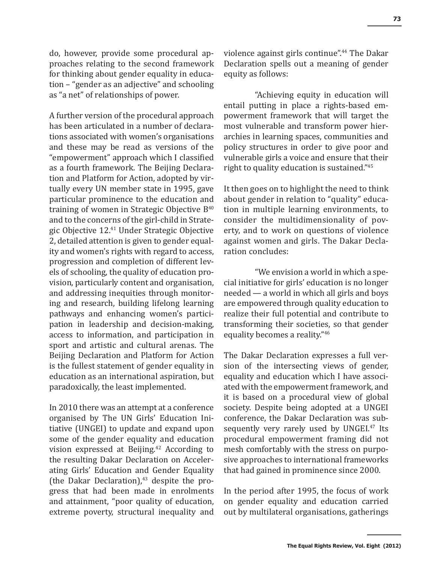do, however, provide some procedural approaches relating to the second framework for thinking about gender equality in education – "gender as an adjective" and schooling as "a net" of relationships of power.

A further version of the procedural approach has been articulated in a number of declarations associated with women's organisations and these may be read as versions of the "empowerment" approach which I classified as a fourth framework. The Beijing Declaration and Platform for Action, adopted by virtually every UN member state in 1995, gave particular prominence to the education and training of women in Strategic Objective  $B^{40}$ and to the concerns of the girl-child in Strategic Objective 12.<sup>41</sup> Under Strategic Objective 2, detailed attention is given to gender equality and women's rights with regard to access, progression and completion of different levels of schooling, the quality of education provision, particularly content and organisation, and addressing inequities through monitoring and research, building lifelong learning pathways and enhancing women's participation in leadership and decision-making, access to information, and participation in sport and artistic and cultural arenas. The Beijing Declaration and Platform for Action is the fullest statement of gender equality in education as an international aspiration, but paradoxically, the least implemented.

In 2010 there was an attempt at a conference organised by The UN Girls' Education Initiative (UNGEI) to update and expand upon some of the gender equality and education vision expressed at Beijing.<sup>42</sup> According to the resulting Dakar Declaration on Accelerating Girls' Education and Gender Equality (the Dakar Declaration), $43$  despite the progress that had been made in enrolments and attainment, "poor quality of education, extreme poverty, structural inequality and violence against girls continue".44 The Dakar Declaration spells out a meaning of gender equity as follows:

"Achieving equity in education will entail putting in place a rights-based empowerment framework that will target the most vulnerable and transform power hierarchies in learning spaces, communities and policy structures in order to give poor and vulnerable girls a voice and ensure that their right to quality education is sustained."<sup>45</sup>

It then goes on to highlight the need to think about gender in relation to "quality" education in multiple learning environments, to consider the multidimensionality of poverty, and to work on questions of violence against women and girls. The Dakar Declaration concludes:

"We envision a world in which a special initiative for girls' education is no longer needed — a world in which all girls and boys are empowered through quality education to realize their full potential and contribute to transforming their societies, so that gender equality becomes a reality."<sup>46</sup>

The Dakar Declaration expresses a full version of the intersecting views of gender, equality and education which I have associated with the empowerment framework, and it is based on a procedural view of global society. Despite being adopted at a UNGEI conference, the Dakar Declaration was subsequently very rarely used by UNGEI.<sup>47</sup> Its procedural empowerment framing did not mesh comfortably with the stress on purposive approaches to international frameworks that had gained in prominence since 2000.

In the period after 1995, the focus of work on gender equality and education carried out by multilateral organisations, gatherings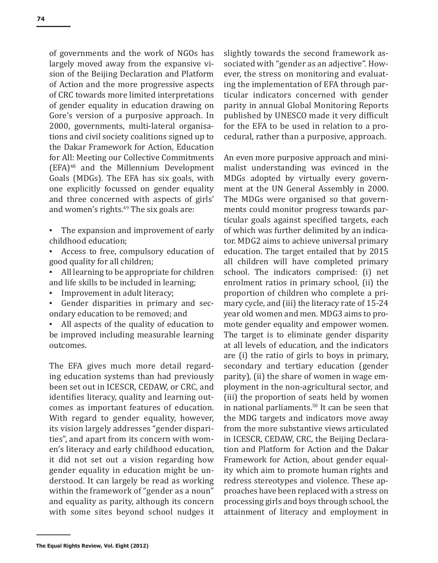of governments and the work of NGOs has largely moved away from the expansive vision of the Beijing Declaration and Platform of Action and the more progressive aspects of CRC towards more limited interpretations of gender equality in education drawing on Gore's version of a purposive approach. In 2000, governments, multi-lateral organisations and civil society coalitions signed up to the Dakar Framework for Action, Education for All: Meeting our Collective Commitments (EFA)48 and the Millennium Development Goals (MDGs). The EFA has six goals, with one explicitly focussed on gender equality and three concerned with aspects of girls' and women's rights.<sup>49</sup> The six goals are:

- The expansion and improvement of early childhood education;
- Access to free, compulsory education of good quality for all children;
- All learning to be appropriate for children and life skills to be included in learning;
- Improvement in adult literacy;
- Gender disparities in primary and secondary education to be removed; and
- All aspects of the quality of education to be improved including measurable learning outcomes.

The EFA gives much more detail regarding education systems than had previously been set out in ICESCR, CEDAW, or CRC, and identifies literacy, quality and learning outcomes as important features of education. With regard to gender equality, however, its vision largely addresses "gender disparities", and apart from its concern with women's literacy and early childhood education, it did not set out a vision regarding how gender equality in education might be understood. It can largely be read as working within the framework of "gender as a noun" and equality as parity, although its concern with some sites beyond school nudges it slightly towards the second framework associated with "gender as an adjective". However, the stress on monitoring and evaluating the implementation of EFA through particular indicators concerned with gender parity in annual Global Monitoring Reports published by UNESCO made it very difficult for the EFA to be used in relation to a procedural, rather than a purposive, approach.

An even more purposive approach and minimalist understanding was evinced in the MDGs adopted by virtually every government at the UN General Assembly in 2000. The MDGs were organised so that governments could monitor progress towards particular goals against specified targets, each of which was further delimited by an indicator. MDG2 aims to achieve universal primary education. The target entailed that by 2015 all children will have completed primary school. The indicators comprised: (i) net enrolment ratios in primary school, (ii) the proportion of children who complete a primary cycle, and (iii) the literacy rate of 15-24 year old women and men. MDG3 aims to promote gender equality and empower women. The target is to eliminate gender disparity at all levels of education, and the indicators are (i) the ratio of girls to boys in primary, secondary and tertiary education (gender parity), (ii) the share of women in wage employment in the non-agricultural sector, and (iii) the proportion of seats held by women in national parliaments.50 It can be seen that the MDG targets and indicators move away from the more substantive views articulated in ICESCR, CEDAW, CRC, the Beijing Declaration and Platform for Action and the Dakar Framework for Action, about gender equality which aim to promote human rights and redress stereotypes and violence. These approaches have been replaced with a stress on processing girls and boys through school, the attainment of literacy and employment in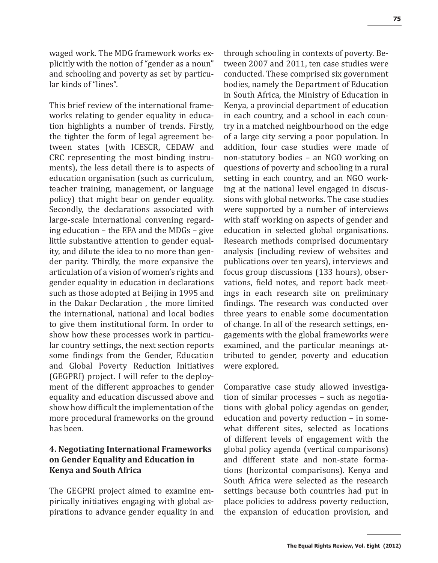waged work. The MDG framework works explicitly with the notion of "gender as a noun" and schooling and poverty as set by particular kinds of "lines".

This brief review of the international frameworks relating to gender equality in education highlights a number of trends. Firstly, the tighter the form of legal agreement between states (with ICESCR, CEDAW and CRC representing the most binding instruments), the less detail there is to aspects of education organisation (such as curriculum, teacher training, management, or language policy) that might bear on gender equality. Secondly, the declarations associated with large-scale international convening regarding education – the EFA and the MDGs – give little substantive attention to gender equality, and dilute the idea to no more than gender parity. Thirdly, the more expansive the articulation of a vision of women's rights and gender equality in education in declarations such as those adopted at Beijing in 1995 and in the Dakar Declaration , the more limited the international, national and local bodies to give them institutional form. In order to show how these processes work in particular country settings, the next section reports some findings from the Gender, Education and Global Poverty Reduction Initiatives (GEGPRI) project. I will refer to the deployment of the different approaches to gender equality and education discussed above and show how difficult the implementation of the more procedural frameworks on the ground has been.

# **4. Negotiating International Frameworks on Gender Equality and Education in Kenya and South Africa**

The GEGPRI project aimed to examine empirically initiatives engaging with global aspirations to advance gender equality in and through schooling in contexts of poverty. Between 2007 and 2011, ten case studies were conducted. These comprised six government bodies, namely the Department of Education in South Africa, the Ministry of Education in Kenya, a provincial department of education in each country, and a school in each country in a matched neighbourhood on the edge of a large city serving a poor population. In addition, four case studies were made of non-statutory bodies – an NGO working on questions of poverty and schooling in a rural setting in each country, and an NGO working at the national level engaged in discussions with global networks. The case studies were supported by a number of interviews with staff working on aspects of gender and education in selected global organisations. Research methods comprised documentary analysis (including review of websites and publications over ten years), interviews and focus group discussions (133 hours), observations, field notes, and report back meetings in each research site on preliminary findings. The research was conducted over three years to enable some documentation of change. In all of the research settings, engagements with the global frameworks were examined, and the particular meanings attributed to gender, poverty and education were explored.

Comparative case study allowed investigation of similar processes – such as negotiations with global policy agendas on gender, education and poverty reduction – in somewhat different sites, selected as locations of different levels of engagement with the global policy agenda (vertical comparisons) and different state and non-state formations (horizontal comparisons). Kenya and South Africa were selected as the research settings because both countries had put in place policies to address poverty reduction, the expansion of education provision, and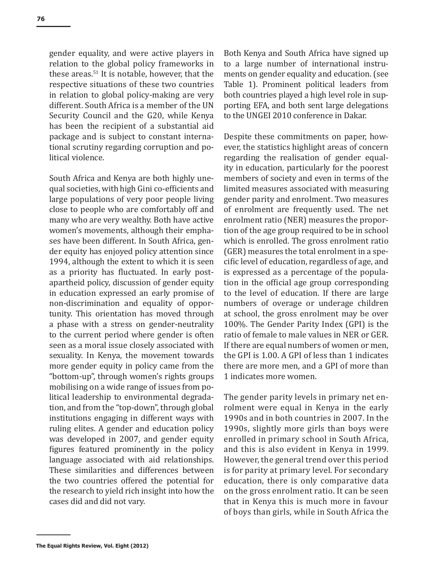gender equality, and were active players in relation to the global policy frameworks in these areas. $51$  It is notable, however, that the respective situations of these two countries in relation to global policy-making are very different. South Africa is a member of the UN Security Council and the G20, while Kenya has been the recipient of a substantial aid package and is subject to constant international scrutiny regarding corruption and political violence.

South Africa and Kenya are both highly unequal societies, with high Gini co-efficients and large populations of very poor people living close to people who are comfortably off and many who are very wealthy. Both have active women's movements, although their emphases have been different. In South Africa, gender equity has enjoyed policy attention since 1994, although the extent to which it is seen as a priority has fluctuated. In early postapartheid policy, discussion of gender equity in education expressed an early promise of non-discrimination and equality of opportunity. This orientation has moved through a phase with a stress on gender-neutrality to the current period where gender is often seen as a moral issue closely associated with sexuality. In Kenya, the movement towards more gender equity in policy came from the "bottom-up", through women's rights groups mobilising on a wide range of issues from political leadership to environmental degradation, and from the "top-down", through global institutions engaging in different ways with ruling elites. A gender and education policy was developed in 2007, and gender equity figures featured prominently in the policy language associated with aid relationships. These similarities and differences between the two countries offered the potential for the research to yield rich insight into how the cases did and did not vary.

Both Kenya and South Africa have signed up to a large number of international instruments on gender equality and education. (see Table 1). Prominent political leaders from both countries played a high level role in supporting EFA, and both sent large delegations to the UNGEI 2010 conference in Dakar.

Despite these commitments on paper, however, the statistics highlight areas of concern regarding the realisation of gender equality in education, particularly for the poorest members of society and even in terms of the limited measures associated with measuring gender parity and enrolment. Two measures of enrolment are frequently used. The net enrolment ratio (NER) measures the proportion of the age group required to be in school which is enrolled. The gross enrolment ratio (GER) measures the total enrolment in a specific level of education, regardless of age, and is expressed as a percentage of the population in the official age group corresponding to the level of education. If there are large numbers of overage or underage children at school, the gross enrolment may be over 100%. The Gender Parity Index (GPI) is the ratio of female to male values in NER or GER. If there are equal numbers of women or men, the GPI is 1.00. A GPI of less than 1 indicates there are more men, and a GPI of more than 1 indicates more women.

The gender parity levels in primary net enrolment were equal in Kenya in the early 1990s and in both countries in 2007. In the 1990s, slightly more girls than boys were enrolled in primary school in South Africa, and this is also evident in Kenya in 1999. However, the general trend over this period is for parity at primary level. For secondary education, there is only comparative data on the gross enrolment ratio. It can be seen that in Kenya this is much more in favour of boys than girls, while in South Africa the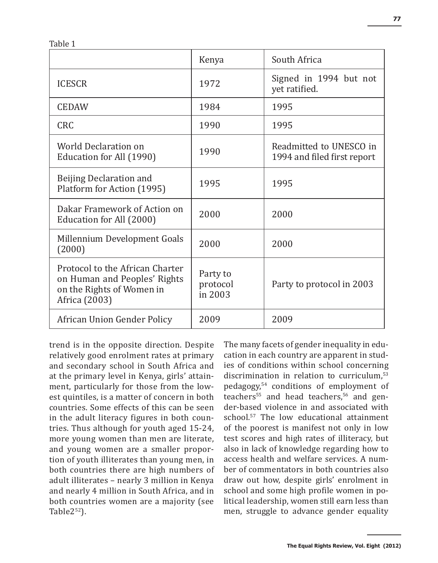Table 1

|                                                                                                               | Kenya                           | South Africa                                           |  |
|---------------------------------------------------------------------------------------------------------------|---------------------------------|--------------------------------------------------------|--|
| <b>ICESCR</b>                                                                                                 | 1972                            | Signed in 1994 but not<br>yet ratified.                |  |
| <b>CEDAW</b>                                                                                                  | 1984                            | 1995                                                   |  |
| <b>CRC</b>                                                                                                    | 1990                            | 1995                                                   |  |
| World Declaration on<br>Education for All (1990)                                                              | 1990                            | Readmitted to UNESCO in<br>1994 and filed first report |  |
| Beijing Declaration and<br>Platform for Action (1995)                                                         | 1995                            | 1995                                                   |  |
| Dakar Framework of Action on<br>Education for All (2000)                                                      | 2000                            | 2000                                                   |  |
| Millennium Development Goals<br>(2000)                                                                        | 2000                            | 2000                                                   |  |
| Protocol to the African Charter<br>on Human and Peoples' Rights<br>on the Rights of Women in<br>Africa (2003) | Party to<br>protocol<br>in 2003 | Party to protocol in 2003                              |  |
| African Union Gender Policy                                                                                   | 2009                            | 2009                                                   |  |

trend is in the opposite direction. Despite relatively good enrolment rates at primary and secondary school in South Africa and at the primary level in Kenya, girls' attainment, particularly for those from the lowest quintiles, is a matter of concern in both countries. Some effects of this can be seen in the adult literacy figures in both countries. Thus although for youth aged 15-24, more young women than men are literate, and young women are a smaller proportion of youth illiterates than young men, in both countries there are high numbers of adult illiterates – nearly 3 million in Kenya and nearly 4 million in South Africa, and in both countries women are a majority (see Table $2^{52}$ ).

The many facets of gender inequality in education in each country are apparent in studies of conditions within school concerning discrimination in relation to curriculum,<sup>53</sup> pedagogy,54 conditions of employment of teachers<sup>55</sup> and head teachers.<sup>56</sup> and gender-based violence in and associated with school.57 The low educational attainment of the poorest is manifest not only in low test scores and high rates of illiteracy, but also in lack of knowledge regarding how to access health and welfare services. A number of commentators in both countries also draw out how, despite girls' enrolment in school and some high profile women in political leadership, women still earn less than men, struggle to advance gender equality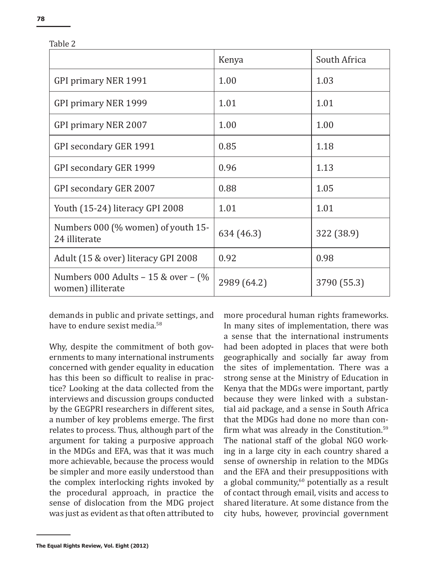| $\sim$ |  |  |
|--------|--|--|
|        |  |  |

|                                                             | Kenya       | South Africa |
|-------------------------------------------------------------|-------------|--------------|
| <b>GPI primary NER 1991</b>                                 | 1.00        | 1.03         |
| GPI primary NER 1999                                        | 1.01        | 1.01         |
| GPI primary NER 2007                                        | 1.00        | 1.00         |
| <b>GPI secondary GER 1991</b>                               | 0.85        | 1.18         |
| GPI secondary GER 1999                                      | 0.96        | 1.13         |
| GPI secondary GER 2007                                      | 0.88        | 1.05         |
| Youth (15-24) literacy GPI 2008                             | 1.01        | 1.01         |
| Numbers 000 (% women) of youth 15-<br>24 illiterate         | 634 (46.3)  | 322 (38.9)   |
| Adult (15 & over) literacy GPI 2008                         | 0.92        | 0.98         |
| Numbers 000 Adults $-15$ & over $-$ (%<br>women) illiterate | 2989 (64.2) | 3790 (55.3)  |

Table 2

demands in public and private settings, and have to endure sexist media<sup>58</sup>

Why, despite the commitment of both governments to many international instruments concerned with gender equality in education has this been so difficult to realise in practice? Looking at the data collected from the interviews and discussion groups conducted by the GEGPRI researchers in different sites, a number of key problems emerge. The first relates to process. Thus, although part of the argument for taking a purposive approach in the MDGs and EFA, was that it was much more achievable, because the process would be simpler and more easily understood than the complex interlocking rights invoked by the procedural approach, in practice the sense of dislocation from the MDG project was just as evident as that often attributed to more procedural human rights frameworks. In many sites of implementation, there was a sense that the international instruments had been adopted in places that were both geographically and socially far away from the sites of implementation. There was a strong sense at the Ministry of Education in Kenya that the MDGs were important, partly because they were linked with a substantial aid package, and a sense in South Africa that the MDGs had done no more than confirm what was already in the Constitution.<sup>59</sup> The national staff of the global NGO working in a large city in each country shared a sense of ownership in relation to the MDGs and the EFA and their presuppositions with a global community, $60$  potentially as a result of contact through email, visits and access to shared literature. At some distance from the city hubs, however, provincial government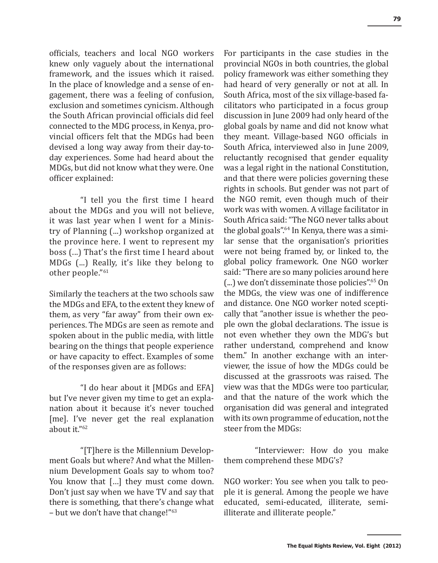officials, teachers and local NGO workers knew only vaguely about the international framework, and the issues which it raised. In the place of knowledge and a sense of engagement, there was a feeling of confusion, exclusion and sometimes cynicism. Although the South African provincial officials did feel connected to the MDG process, in Kenya, provincial officers felt that the MDGs had been devised a long way away from their day-today experiences. Some had heard about the MDGs, but did not know what they were. One officer explained:

"I tell you the first time I heard about the MDGs and you will not believe, it was last year when I went for a Ministry of Planning (...) workshop organized at the province here. I went to represent my boss (...) That's the first time I heard about MDGs (...) Really, it's like they belong to other people."<sup>61</sup>

Similarly the teachers at the two schools saw the MDGs and EFA, to the extent they knew of them, as very "far away" from their own experiences. The MDGs are seen as remote and spoken about in the public media, with little bearing on the things that people experience or have capacity to effect. Examples of some of the responses given are as follows:

"I do hear about it [MDGs and EFA] but I've never given my time to get an explanation about it because it's never touched [me]. I've never get the real explanation about it."<sup>62</sup>

"[T]here is the Millennium Development Goals but where? And what the Millennium Development Goals say to whom too? You know that [...] they must come down. Don't just say when we have TV and say that there is something, that there's change what – but we don't have that change!"<sup>63</sup>

For participants in the case studies in the provincial NGOs in both countries, the global policy framework was either something they had heard of very generally or not at all. In South Africa, most of the six village-based facilitators who participated in a focus group discussion in June 2009 had only heard of the global goals by name and did not know what they meant. Village-based NGO officials in South Africa, interviewed also in June 2009, reluctantly recognised that gender equality was a legal right in the national Constitution, and that there were policies governing these rights in schools. But gender was not part of the NGO remit, even though much of their work was with women. A village facilitator in South Africa said: "The NGO never talks about the global goals".64 In Kenya, there was a similar sense that the organisation's priorities were not being framed by, or linked to, the global policy framework. One NGO worker said: "There are so many policies around here (...) we don't disseminate those policies".65 On the MDGs, the view was one of indifference and distance. One NGO worker noted sceptically that "another issue is whether the people own the global declarations. The issue is not even whether they own the MDG's but rather understand, comprehend and know them." In another exchange with an interviewer, the issue of how the MDGs could be discussed at the grassroots was raised. The view was that the MDGs were too particular, and that the nature of the work which the organisation did was general and integrated with its own programme of education, not the steer from the MDGs:

"Interviewer: How do you make them comprehend these MDG's?

NGO worker: You see when you talk to people it is general. Among the people we have educated, semi-educated, illiterate, semiilliterate and illiterate people."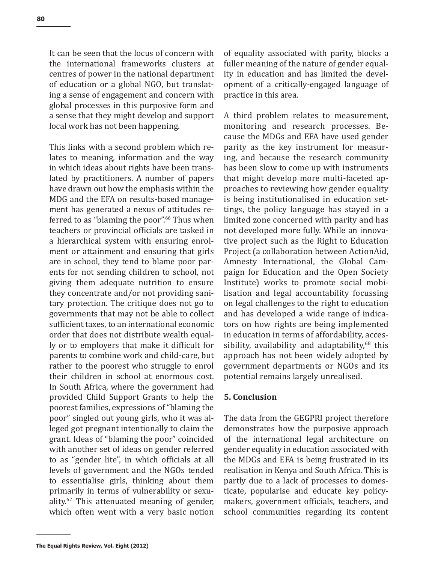It can be seen that the locus of concern with the international frameworks clusters at centres of power in the national department of education or a global NGO, but translating a sense of engagement and concern with global processes in this purposive form and a sense that they might develop and support local work has not been happening.

This links with a second problem which relates to meaning, information and the way in which ideas about rights have been translated by practitioners. A number of papers have drawn out how the emphasis within the MDG and the EFA on results-based management has generated a nexus of attitudes referred to as "blaming the poor".<sup>66</sup> Thus when teachers or provincial officials are tasked in a hierarchical system with ensuring enrolment or attainment and ensuring that girls are in school, they tend to blame poor parents for not sending children to school, not giving them adequate nutrition to ensure they concentrate and/or not providing sanitary protection. The critique does not go to governments that may not be able to collect sufficient taxes, to an international economic order that does not distribute wealth equally or to employers that make it difficult for parents to combine work and child-care, but rather to the poorest who struggle to enrol their children in school at enormous cost. In South Africa, where the government had provided Child Support Grants to help the poorest families, expressions of "blaming the poor" singled out young girls, who it was alleged got pregnant intentionally to claim the grant. Ideas of "blaming the poor" coincided with another set of ideas on gender referred to as "gender lite", in which officials at all levels of government and the NGOs tended to essentialise girls, thinking about them primarily in terms of vulnerability or sexuality.67 This attenuated meaning of gender, which often went with a very basic notion

of equality associated with parity, blocks a fuller meaning of the nature of gender equality in education and has limited the development of a critically-engaged language of practice in this area.

A third problem relates to measurement, monitoring and research processes. Because the MDGs and EFA have used gender parity as the key instrument for measuring, and because the research community has been slow to come up with instruments that might develop more multi-faceted approaches to reviewing how gender equality is being institutionalised in education settings, the policy language has stayed in a limited zone concerned with parity and has not developed more fully. While an innovative project such as the Right to Education Project (a collaboration between ActionAid, Amnesty International, the Global Campaign for Education and the Open Society Institute) works to promote social mobilisation and legal accountability focussing on legal challenges to the right to education and has developed a wide range of indicators on how rights are being implemented in education in terms of affordability, accessibility, availability and adaptability, $68$  this approach has not been widely adopted by government departments or NGOs and its potential remains largely unrealised.

#### **5. Conclusion**

The data from the GEGPRI project therefore demonstrates how the purposive approach of the international legal architecture on gender equality in education associated with the MDGs and EFA is being frustrated in its realisation in Kenya and South Africa. This is partly due to a lack of processes to domesticate, popularise and educate key policymakers, government officials, teachers, and school communities regarding its content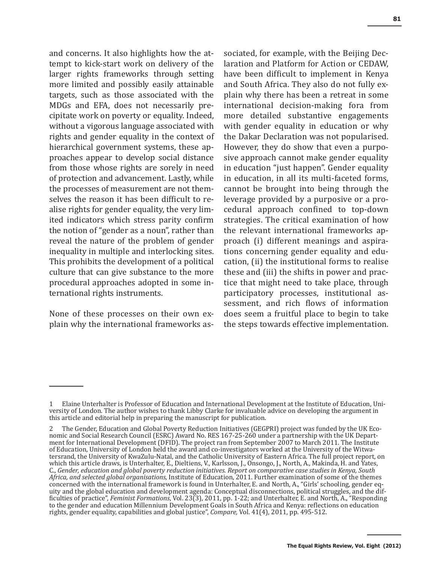and concerns. It also highlights how the attempt to kick-start work on delivery of the larger rights frameworks through setting more limited and possibly easily attainable targets, such as those associated with the MDGs and EFA, does not necessarily precipitate work on poverty or equality. Indeed, without a vigorous language associated with rights and gender equality in the context of hierarchical government systems, these approaches appear to develop social distance from those whose rights are sorely in need of protection and advancement. Lastly, while the processes of measurement are not themselves the reason it has been difficult to realise rights for gender equality, the very limited indicators which stress parity confirm the notion of "gender as a noun", rather than reveal the nature of the problem of gender inequality in multiple and interlocking sites. This prohibits the development of a political culture that can give substance to the more procedural approaches adopted in some international rights instruments.

None of these processes on their own explain why the international frameworks associated, for example, with the Beijing Declaration and Platform for Action or CEDAW, have been difficult to implement in Kenya and South Africa. They also do not fully explain why there has been a retreat in some international decision-making fora from more detailed substantive engagements with gender equality in education or why the Dakar Declaration was not popularised. However, they do show that even a purposive approach cannot make gender equality in education "just happen". Gender equality in education, in all its multi-faceted forms, cannot be brought into being through the leverage provided by a purposive or a procedural approach confined to top-down strategies. The critical examination of how the relevant international frameworks approach (i) different meanings and aspirations concerning gender equality and education, (ii) the institutional forms to realise these and (iii) the shifts in power and practice that might need to take place, through participatory processes, institutional assessment, and rich flows of information does seem a fruitful place to begin to take the steps towards effective implementation.

<sup>1</sup> Elaine Unterhalter is Professor of Education and International Development at the Institute of Education, University of London. The author wishes to thank Libby Clarke for invaluable advice on developing the argument in this article and editorial help in preparing the manuscript for publication.

<sup>2</sup> The Gender, Education and Global Poverty Reduction Initiatives (GEGPRI) project was funded by the UK Economic and Social Research Council (ESRC) Award No. RES 167-25-260 under a partnership with the UK Department for International Development (DFID). The project ran from September 2007 to March 2011. The Institute of Education, University of London held the award and co-investigators worked at the University of the Witwatersrand, the University of KwaZulu-Natal, and the Catholic University of Eastern Africa. The full project report, on which this article draws, is Unterhalter, E., Dieltiens, V., Karlsson, J., Onsongo, J., North, A., Makinda, H. and Yates, C., *Gender, education and global poverty reduction initiatives. Report on comparative case studies in Kenya, South Africa, and selected global organisations,* Institute of Education, 2011. Further examination of some of the themes concerned with the international framework is found in Unterhalter, E. and North, A., "Girls' schooling, gender equity and the global education and development agenda: Conceptual disconnections, political struggles, and the difficulties of practice", *Feminist Formations*, Vol. 23(3), 2011, pp. 1-22; and Unterhalter, E. and North, A., "Responding to the gender and education Millennium Development Goals in South Africa and Kenya: reflections on education rights, gender equality, capabilities and global justice", *Compare,* Vol. 41(4), 2011, pp. 495-512.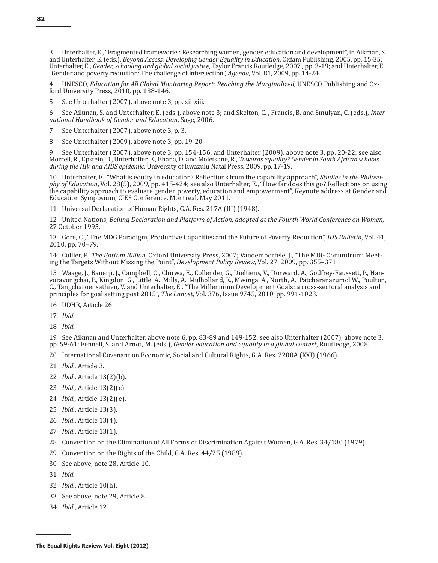3 Unterhalter, E., "Fragmented frameworks: Researching women, gender, education and development", in Aikman, S. and Unterhalter, E. (eds.), *Beyond Access: Developing Gender Equality in Education*, Oxfam Publishing, 2005, pp. 15-35; Unterhalter, E., *Gender, schooling and global social justice*, Taylor Francis Routledge, 2007 , pp. 3-19; and Unterhalter, E., "Gender and poverty reduction: The challenge of intersection", *Agenda*, Vol. 81, 2009, pp. 14-24.

4 UNESCO, *Education for All Global Monitoring Report: Reaching the Marginalized,* UNESCO Publishing and Oxford University Press,  $2010$ , pp. 138-146.

5 See Unterhalter (2007), above note 3, pp. xii-xiii.

6 See Aikman, S. and Unterhalter, E. (eds.), above note 3; and Skelton, C. , Francis, B. and Smulyan, C. (eds.), *International Handbook of Gender and Education*, Sage, 2006.

7 See Unterhalter (2007), above note 3, p. 3.

8 See Unterhalter (2009), above note 3, pp. 19-20.

9 See Unterhalter (2007), above note 3, pp. 154-156; and Unterhalter (2009), above note 3, pp. 20-22; see also Morrell, R., Epstein, D., Unterhalter, E., Bhana, D. and Moletsane, R., *Towards equality? Gender in South African schools during the HIV and AIDS epidemic,* University of Kwazulu Natal Press, 2009, pp. 17-19.

10 Unterhalter, E., "What is equity in education? Reflections from the capability approach", *Studies in the Philosophy of Education*, Vol. 28(5), 2009, pp. 415-424; see also Unterhalter, E., "How far does this go? Reflections on using the capability approach to evaluate gender, poverty, education and empowerment", Keynote address at Gender and Education Symposium, CIES Conference, Montreal, May 2011.

11 Universal Declaration of Human Rights, G.A. Res. 217A (III) (1948).

12 United Nations, *Beijing Declaration and Platform of Action, adopted at the Fourth World Conference on Women*, 27 October 1995.

13 Gore, C., "The MDG Paradigm, Productive Capacities and the Future of Poverty Reduction", *IDS Bulletin*, Vol. 41, 2010, pp. 70–79.

14 Collier, P., *The Bottom Billion,* Oxford University Press, 2007; Vandemoortele, J., "The MDG Conundrum: Meeting the Targets Without Missing the Point", *Development Policy Review,* Vol. 27, 2009, pp. 355–371.

15 Waage, J., Banerji, J., Campbell, O., Chirwa, E., Collender, G., Dieltiens, V., Dorward, A., Godfrey-Faussett, P., Hanvoravongchai, P., Kingdon, G., Little, A., Mills, A., Mulholland, K., Mwinga, A., North, A., Patcharanarumol,W., Poulton, C., Tangcharoensathien, V. and Unterhalter, E., "The Millennium Development Goals: a cross-sectoral analysis and principles for goal setting post 2015", *The Lancet*, Vol. 376, Issue 9745, 2010, pp. 991-1023.

16 UDHR, Article 26.

- 17 *Ibid.*
- 18 *Ibid.*

19 See Aikman and Unterhalter, above note 6, pp. 83-89 and 149-152; see also Unterhalter (2007), above note 3, pp. 59-61; Fennell, S. and Arnot, M. (eds.), *Gender education and equality in a global context*, Routledge, 2008.

20 International Covenant on Economic, Social and Cultural Rights, G.A. Res. 2200A (XXI) (1966).

- 21 *Ibid.,* Article 3.
- 22 *Ibid*., Article 13(2)(b).
- 23 *Ibid.,* Article 13(2)(c).
- 24 *Ibid.,* Article 13(2)(e).
- 25 *Ibid.*, Article 13(3).
- 26 *Ibid.*, Article 13(4).
- 27 *Ibid.*, Article 13(1).
- 28 Convention on the Elimination of All Forms of Discrimination Against Women, G.A. Res. 34/180 (1979).
- 29 Convention on the Rights of the Child, G.A. Res. 44/25 (1989).
- 30 See above, note 28, Article 10.
- 31 *Ibid.*
- 32 *Ibid.*, Article 10(h).
- 33 See above, note 29, Article 8.
- 34 *Ibid.*, Article 12.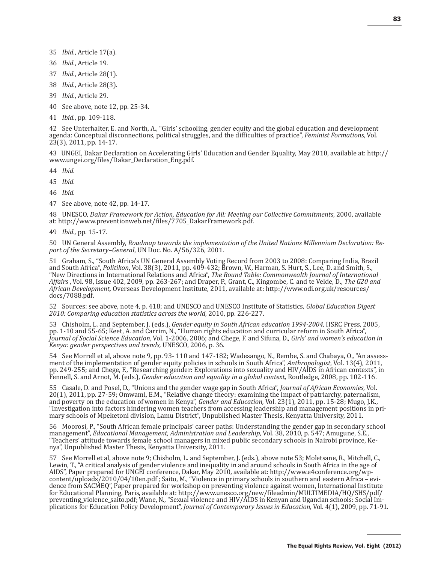- 35 *Ibid.*, Article 17(a).
- 36 *Ibid.*, Article 19.
- 37 *Ibid.*, Article 28(1).
- 38 *Ibid.*, Article 28(3).
- 39 *Ibid.*, Article 29.
- 40 See above, note 12, pp. 25-34.
- 41 *Ibid.*, pp. 109-118.

42 See Unterhalter, E. and North, A., "Girls' schooling, gender equity and the global education and development agenda: Conceptual disconnections, political struggles, and the difficulties of practice", *Feminist Formations*, Vol. 23(3), 2011, pp. 14-17.

43 UNGEI, Dakar Declaration on Accelerating Girls' Education and Gender Equality, May 2010, available at: http:// www.ungei.org/files/Dakar\_Declaration\_Eng.pdf.

44 *Ibid.*

45 *Ibid*.

46 *Ibid.*

47 See above, note 42, pp. 14-17.

48 UNESCO, *Dakar Framework for Action, Education for All: Meeting our Collective Commitments*, 2000, available at: http://www.preventionweb.net/files/7705\_DakarFramework.pdf.

49 *Ibid.,* pp. 15-17.

50 UN General Assembly, *Roadmap towards the implementation of the United Nations Millennium Declaration: Report of the Secretary–General*, UN Doc. No. A/56/326, 2001.

51 Graham, S., "South Africa's UN General Assembly Voting Record from 2003 to 2008: Comparing India, Brazil and South Africa", *Politikon*, Vol. 38(3), 2011, pp. 409-432; Brown, W., Harman, S. Hurt, S., Lee, D. and Smith, S., "New Directions in International Relations and Africa", *The Round Table: Commonwealth Journal of International Affairs* , Vol. 98, Issue 402, 2009, pp. 263-267; and Draper, P., Grant, C., Kingombe, C. and te Velde, D., *The G20 and African Development,* Overseas Development Institute, 2011, available at: http://www.odi.org.uk/resources/ docs/7088.pdf.

52 Sources: see above, note 4, p. 418; and UNESCO and UNESCO Institute of Statistics, *Global Education Digest 2010: Comparing education statistics across the world,* 2010, pp. 226-227.

53 Chisholm, L. and September, J. (eds.), *Gender equity in South African education 1994-2004,* HSRC Press, 2005, pp. 1-10 and 55-65; Keet, A. and Carrim, N., "Human rights education and curricular reform in South Africa", *Journal of Social Science Education*, Vol. 1-2006, 2006; and Chege, F. and Sifuna, D., *Girls' and women's education in Kenya: gender perspectives and trends,* UNESCO, 2006, p. 36.

54 See Morrell et al, above note 9, pp. 93- 110 and 147-182; Wadesango, N., Rembe, S. and Chabaya, O., "An assessment of the implementation of gender equity policies in schools in South Africa", *Anthropologist*, Vol. 13(4), 2011, pp. 249-255; and Chege, F., "Researching gender: Explorations into sexuality and HIV/AIDS in African contexts", in Fennell, S. and Arnot, M. (eds.), *Gender education and equality in a global context,* Routledge, 2008, pp. 102-116.

55 Casale, D. and Posel, D., "Unions and the gender wage gap in South Africa", *Journal of African Economies*, Vol. 20(1), 2011, pp. 27-59; Omwami, E.M., "Relative change theory: examining the impact of patriarchy, paternalism, and poverty on the education of women in Kenya", *Gender and Education,* Vol. 23(1), 2011, pp. 15-28; Mugo, J.K., "Investigation into factors hindering women teachers from accessing leadership and management positions in primary schools of Mpeketoni division, Lamu District", Unpublished Master Thesis, Kenyatta University, 2011.

56 Moorosi, P., "South African female principals' career paths: Understanding the gender gap in secondary school management", *Educational Management, Administration and Leadership,* Vol. 38, 2010, p. 547; Amugune, S.E., "Teachers' attitude towards female school managers in mixed public secondary schools in Nairobi province, Kenya", Unpublished Master Thesis, Kenyatta University, 2011.

57 See Morrell et al, above note 9; Chisholm, L. and September, J. (eds.), above note 53; Moletsane, R., Mitchell, C., Lewin, T., "A critical analysis of gender violence and inequality in and around schools in South Africa in the age of AIDS", Paper prepared for UNGEI conference, Dakar, May 2010, available at: http://www.e4conference.org/wpcontent/uploads/2010/04/10en.pdf ; Saito, M., "Violence in primary schools in southern and eastern Africa – evidence from SACMEQ", Paper prepared for workshop on preventing violence against women, International Institute for Educational Planning, Paris, available at: http://www.unesco.org/new/fileadmin/MULTIMEDIA/HQ/SHS/pdf/ preventing\_violence\_saito.pdf; Wane, N., "Sexual violence and HIV/AIDS in Kenyan and Ugandan schools: Social Implications for Education Policy Development", *Journal of Contemporary Issues in Education,* Vol. 4(1), 2009, pp. 71-91.